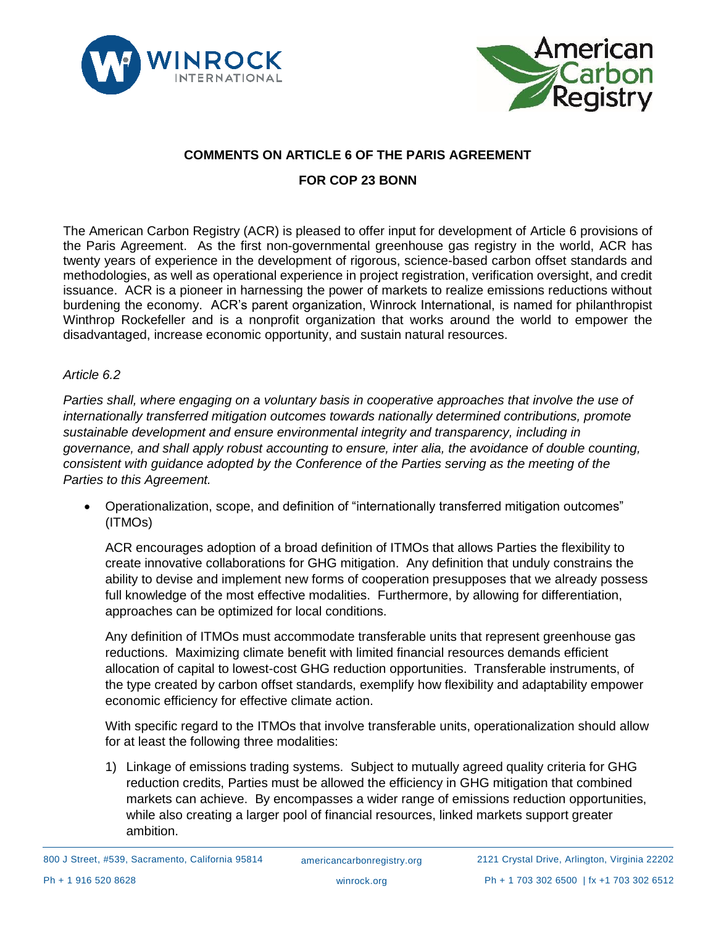



# **COMMENTS ON ARTICLE 6 OF THE PARIS AGREEMENT**

# **FOR COP 23 BONN**

The American Carbon Registry (ACR) is pleased to offer input for development of Article 6 provisions of the Paris Agreement. As the first non-governmental greenhouse gas registry in the world, ACR has twenty years of experience in the development of rigorous, science-based carbon offset standards and methodologies, as well as operational experience in project registration, verification oversight, and credit issuance. ACR is a pioneer in harnessing the power of markets to realize emissions reductions without burdening the economy. ACR's parent organization, Winrock International, is named for philanthropist Winthrop Rockefeller and is a nonprofit organization that works around the world to empower the disadvantaged, increase economic opportunity, and sustain natural resources.

#### *Article 6.2*

*Parties shall, where engaging on a voluntary basis in cooperative approaches that involve the use of internationally transferred mitigation outcomes towards nationally determined contributions, promote sustainable development and ensure environmental integrity and transparency, including in governance, and shall apply robust accounting to ensure, inter alia, the avoidance of double counting, consistent with guidance adopted by the Conference of the Parties serving as the meeting of the Parties to this Agreement.*

• Operationalization, scope, and definition of "internationally transferred mitigation outcomes" (ITMOs)

ACR encourages adoption of a broad definition of ITMOs that allows Parties the flexibility to create innovative collaborations for GHG mitigation. Any definition that unduly constrains the ability to devise and implement new forms of cooperation presupposes that we already possess full knowledge of the most effective modalities. Furthermore, by allowing for differentiation, approaches can be optimized for local conditions.

Any definition of ITMOs must accommodate transferable units that represent greenhouse gas reductions. Maximizing climate benefit with limited financial resources demands efficient allocation of capital to lowest-cost GHG reduction opportunities. Transferable instruments, of the type created by carbon offset standards, exemplify how flexibility and adaptability empower economic efficiency for effective climate action.

With specific regard to the ITMOs that involve transferable units, operationalization should allow for at least the following three modalities:

1) Linkage of emissions trading systems. Subject to mutually agreed quality criteria for GHG reduction credits, Parties must be allowed the efficiency in GHG mitigation that combined markets can achieve. By encompasses a wider range of emissions reduction opportunities, while also creating a larger pool of financial resources, linked markets support greater ambition.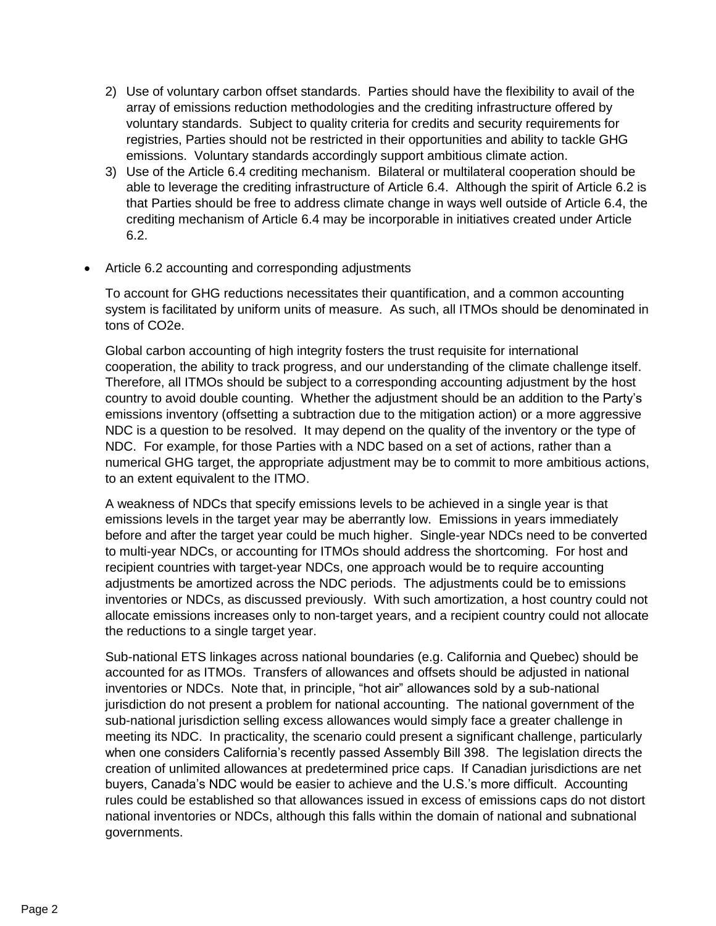- 2) Use of voluntary carbon offset standards. Parties should have the flexibility to avail of the array of emissions reduction methodologies and the crediting infrastructure offered by voluntary standards. Subject to quality criteria for credits and security requirements for registries, Parties should not be restricted in their opportunities and ability to tackle GHG emissions. Voluntary standards accordingly support ambitious climate action.
- 3) Use of the Article 6.4 crediting mechanism. Bilateral or multilateral cooperation should be able to leverage the crediting infrastructure of Article 6.4. Although the spirit of Article 6.2 is that Parties should be free to address climate change in ways well outside of Article 6.4, the crediting mechanism of Article 6.4 may be incorporable in initiatives created under Article 6.2.
- Article 6.2 accounting and corresponding adjustments

To account for GHG reductions necessitates their quantification, and a common accounting system is facilitated by uniform units of measure. As such, all ITMOs should be denominated in tons of CO2e.

Global carbon accounting of high integrity fosters the trust requisite for international cooperation, the ability to track progress, and our understanding of the climate challenge itself. Therefore, all ITMOs should be subject to a corresponding accounting adjustment by the host country to avoid double counting. Whether the adjustment should be an addition to the Party's emissions inventory (offsetting a subtraction due to the mitigation action) or a more aggressive NDC is a question to be resolved. It may depend on the quality of the inventory or the type of NDC. For example, for those Parties with a NDC based on a set of actions, rather than a numerical GHG target, the appropriate adjustment may be to commit to more ambitious actions, to an extent equivalent to the ITMO.

A weakness of NDCs that specify emissions levels to be achieved in a single year is that emissions levels in the target year may be aberrantly low. Emissions in years immediately before and after the target year could be much higher. Single-year NDCs need to be converted to multi-year NDCs, or accounting for ITMOs should address the shortcoming. For host and recipient countries with target-year NDCs, one approach would be to require accounting adjustments be amortized across the NDC periods. The adjustments could be to emissions inventories or NDCs, as discussed previously. With such amortization, a host country could not allocate emissions increases only to non-target years, and a recipient country could not allocate the reductions to a single target year.

Sub-national ETS linkages across national boundaries (e.g. California and Quebec) should be accounted for as ITMOs. Transfers of allowances and offsets should be adjusted in national inventories or NDCs. Note that, in principle, "hot air" allowances sold by a sub-national jurisdiction do not present a problem for national accounting. The national government of the sub-national jurisdiction selling excess allowances would simply face a greater challenge in meeting its NDC. In practicality, the scenario could present a significant challenge, particularly when one considers California's recently passed Assembly Bill 398. The legislation directs the creation of unlimited allowances at predetermined price caps. If Canadian jurisdictions are net buyers, Canada's NDC would be easier to achieve and the U.S.'s more difficult. Accounting rules could be established so that allowances issued in excess of emissions caps do not distort national inventories or NDCs, although this falls within the domain of national and subnational governments.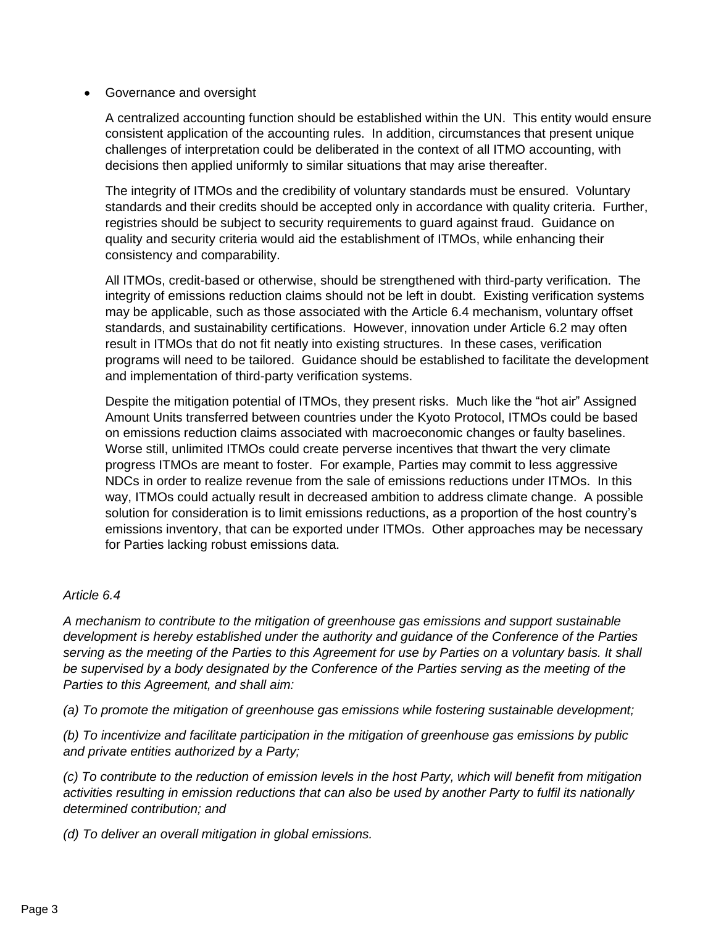## • Governance and oversight

A centralized accounting function should be established within the UN. This entity would ensure consistent application of the accounting rules. In addition, circumstances that present unique challenges of interpretation could be deliberated in the context of all ITMO accounting, with decisions then applied uniformly to similar situations that may arise thereafter.

The integrity of ITMOs and the credibility of voluntary standards must be ensured. Voluntary standards and their credits should be accepted only in accordance with quality criteria. Further, registries should be subject to security requirements to guard against fraud. Guidance on quality and security criteria would aid the establishment of ITMOs, while enhancing their consistency and comparability.

All ITMOs, credit-based or otherwise, should be strengthened with third-party verification. The integrity of emissions reduction claims should not be left in doubt. Existing verification systems may be applicable, such as those associated with the Article 6.4 mechanism, voluntary offset standards, and sustainability certifications. However, innovation under Article 6.2 may often result in ITMOs that do not fit neatly into existing structures. In these cases, verification programs will need to be tailored. Guidance should be established to facilitate the development and implementation of third-party verification systems.

Despite the mitigation potential of ITMOs, they present risks. Much like the "hot air" Assigned Amount Units transferred between countries under the Kyoto Protocol, ITMOs could be based on emissions reduction claims associated with macroeconomic changes or faulty baselines. Worse still, unlimited ITMOs could create perverse incentives that thwart the very climate progress ITMOs are meant to foster. For example, Parties may commit to less aggressive NDCs in order to realize revenue from the sale of emissions reductions under ITMOs. In this way, ITMOs could actually result in decreased ambition to address climate change. A possible solution for consideration is to limit emissions reductions, as a proportion of the host country's emissions inventory, that can be exported under ITMOs. Other approaches may be necessary for Parties lacking robust emissions data.

## *Article 6.4*

*A mechanism to contribute to the mitigation of greenhouse gas emissions and support sustainable development is hereby established under the authority and guidance of the Conference of the Parties serving as the meeting of the Parties to this Agreement for use by Parties on a voluntary basis. It shall be supervised by a body designated by the Conference of the Parties serving as the meeting of the Parties to this Agreement, and shall aim:* 

*(a) To promote the mitigation of greenhouse gas emissions while fostering sustainable development;* 

*(b) To incentivize and facilitate participation in the mitigation of greenhouse gas emissions by public and private entities authorized by a Party;* 

*(c) To contribute to the reduction of emission levels in the host Party, which will benefit from mitigation activities resulting in emission reductions that can also be used by another Party to fulfil its nationally determined contribution; and* 

*(d) To deliver an overall mitigation in global emissions.*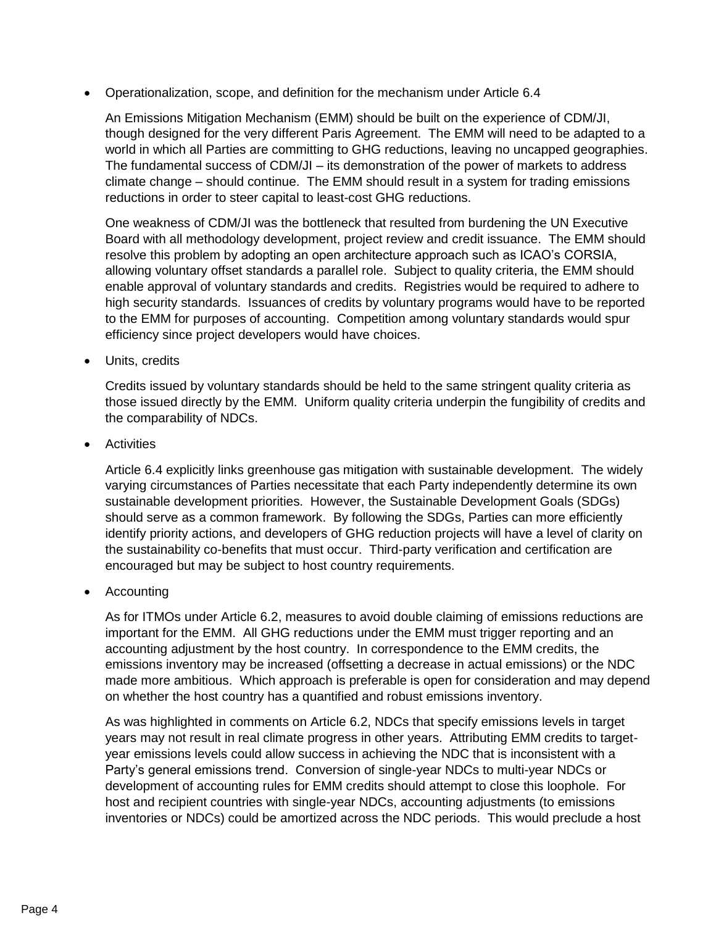• Operationalization, scope, and definition for the mechanism under Article 6.4

An Emissions Mitigation Mechanism (EMM) should be built on the experience of CDM/JI, though designed for the very different Paris Agreement. The EMM will need to be adapted to a world in which all Parties are committing to GHG reductions, leaving no uncapped geographies. The fundamental success of CDM/JI – its demonstration of the power of markets to address climate change – should continue. The EMM should result in a system for trading emissions reductions in order to steer capital to least-cost GHG reductions.

One weakness of CDM/JI was the bottleneck that resulted from burdening the UN Executive Board with all methodology development, project review and credit issuance. The EMM should resolve this problem by adopting an open architecture approach such as ICAO's CORSIA, allowing voluntary offset standards a parallel role. Subject to quality criteria, the EMM should enable approval of voluntary standards and credits. Registries would be required to adhere to high security standards. Issuances of credits by voluntary programs would have to be reported to the EMM for purposes of accounting. Competition among voluntary standards would spur efficiency since project developers would have choices.

• Units, credits

Credits issued by voluntary standards should be held to the same stringent quality criteria as those issued directly by the EMM. Uniform quality criteria underpin the fungibility of credits and the comparability of NDCs.

**Activities** 

Article 6.4 explicitly links greenhouse gas mitigation with sustainable development. The widely varying circumstances of Parties necessitate that each Party independently determine its own sustainable development priorities. However, the Sustainable Development Goals (SDGs) should serve as a common framework. By following the SDGs, Parties can more efficiently identify priority actions, and developers of GHG reduction projects will have a level of clarity on the sustainability co-benefits that must occur. Third-party verification and certification are encouraged but may be subject to host country requirements.

• Accounting

As for ITMOs under Article 6.2, measures to avoid double claiming of emissions reductions are important for the EMM. All GHG reductions under the EMM must trigger reporting and an accounting adjustment by the host country. In correspondence to the EMM credits, the emissions inventory may be increased (offsetting a decrease in actual emissions) or the NDC made more ambitious. Which approach is preferable is open for consideration and may depend on whether the host country has a quantified and robust emissions inventory.

As was highlighted in comments on Article 6.2, NDCs that specify emissions levels in target years may not result in real climate progress in other years. Attributing EMM credits to targetyear emissions levels could allow success in achieving the NDC that is inconsistent with a Party's general emissions trend. Conversion of single-year NDCs to multi-year NDCs or development of accounting rules for EMM credits should attempt to close this loophole. For host and recipient countries with single-year NDCs, accounting adjustments (to emissions inventories or NDCs) could be amortized across the NDC periods. This would preclude a host